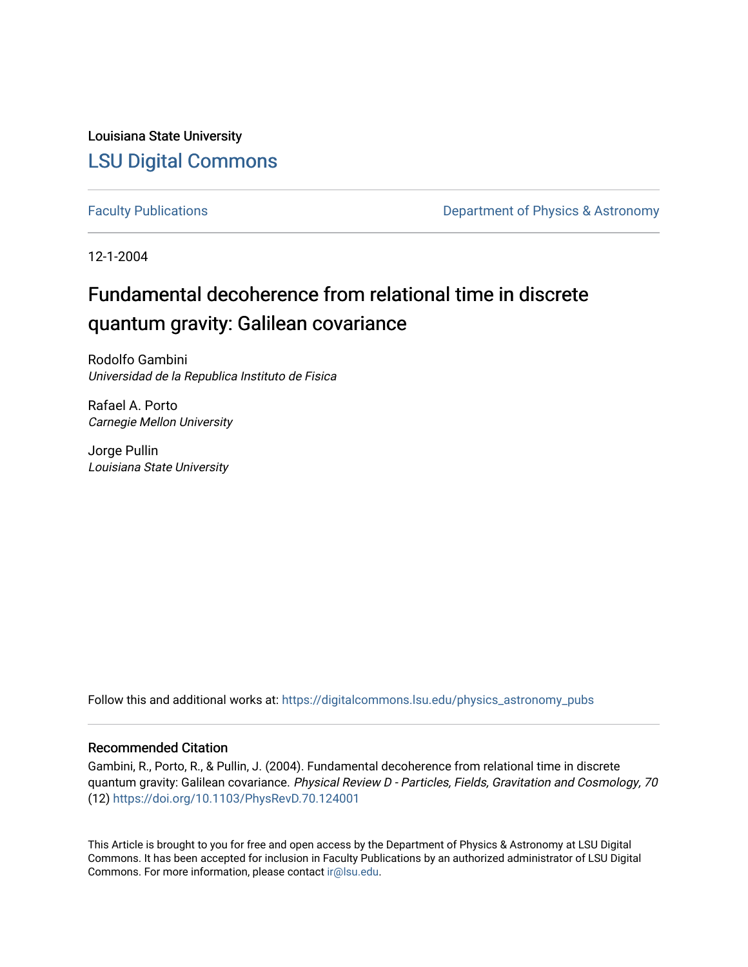Louisiana State University [LSU Digital Commons](https://digitalcommons.lsu.edu/)

[Faculty Publications](https://digitalcommons.lsu.edu/physics_astronomy_pubs) **Exercise 2 and Table 2 and Table 2 and Table 2 and Table 2 and Table 2 and Table 2 and Table 2 and Table 2 and Table 2 and Table 2 and Table 2 and Table 2 and Table 2 and Table 2 and Table 2 and Table** 

12-1-2004

# Fundamental decoherence from relational time in discrete quantum gravity: Galilean covariance

Rodolfo Gambini Universidad de la Republica Instituto de Fisica

Rafael A. Porto Carnegie Mellon University

Jorge Pullin Louisiana State University

Follow this and additional works at: [https://digitalcommons.lsu.edu/physics\\_astronomy\\_pubs](https://digitalcommons.lsu.edu/physics_astronomy_pubs?utm_source=digitalcommons.lsu.edu%2Fphysics_astronomy_pubs%2F4385&utm_medium=PDF&utm_campaign=PDFCoverPages) 

# Recommended Citation

Gambini, R., Porto, R., & Pullin, J. (2004). Fundamental decoherence from relational time in discrete quantum gravity: Galilean covariance. Physical Review D - Particles, Fields, Gravitation and Cosmology, 70 (12) <https://doi.org/10.1103/PhysRevD.70.124001>

This Article is brought to you for free and open access by the Department of Physics & Astronomy at LSU Digital Commons. It has been accepted for inclusion in Faculty Publications by an authorized administrator of LSU Digital Commons. For more information, please contact [ir@lsu.edu](mailto:ir@lsu.edu).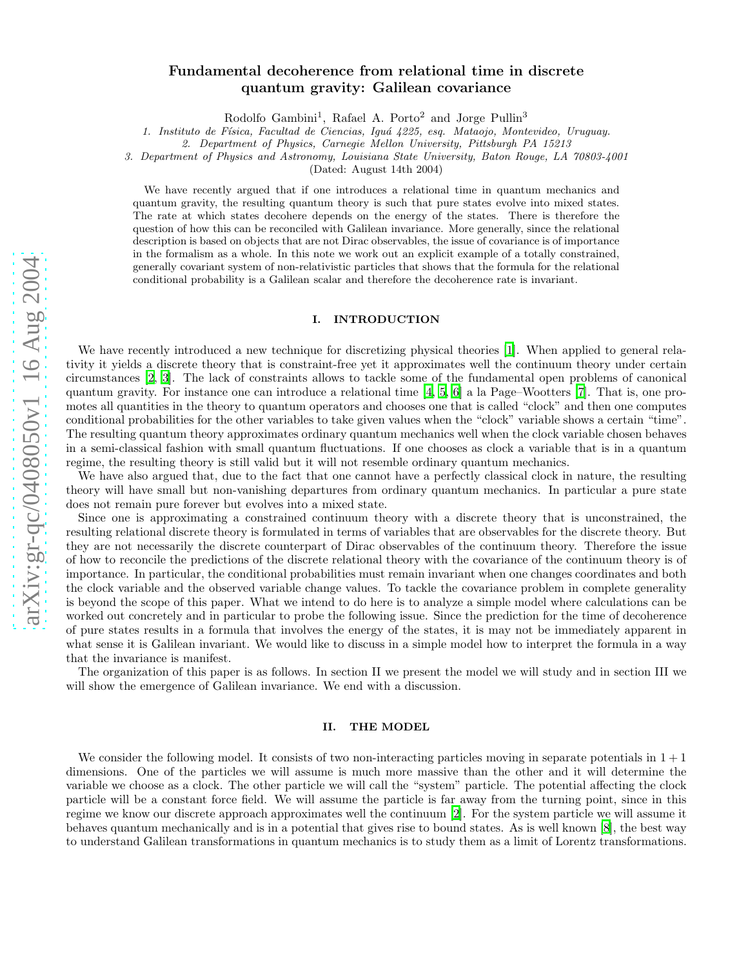# arXiv:gr-qc/0408050v1 16 Aug 2004 [arXiv:gr-qc/0408050v1 16 Aug 2004](http://arxiv.org/abs/gr-qc/0408050v1)

# Fundamental decoherence from relational time in discrete quantum gravity: Galilean covariance

Rodolfo Gambini<sup>1</sup>, Rafael A. Porto<sup>2</sup> and Jorge Pullin<sup>3</sup>

1. Instituto de Física, Facultad de Ciencias, Iguá 4225, esg. Mataojo, Montevideo, Uruguay.

3. Department of Physics and Astronomy, Louisiana State University, Baton Rouge, LA 70803-4001

(Dated: August 14th 2004)

We have recently argued that if one introduces a relational time in quantum mechanics and quantum gravity, the resulting quantum theory is such that pure states evolve into mixed states. The rate at which states decohere depends on the energy of the states. There is therefore the question of how this can be reconciled with Galilean invariance. More generally, since the relational description is based on objects that are not Dirac observables, the issue of covariance is of importance in the formalism as a whole. In this note we work out an explicit example of a totally constrained, generally covariant system of non-relativistic particles that shows that the formula for the relational conditional probability is a Galilean scalar and therefore the decoherence rate is invariant.

### I. INTRODUCTION

We have recently introduced a new technique for discretizing physical theories [\[1\]](#page-10-0). When applied to general relativity it yields a discrete theory that is constraint-free yet it approximates well the continuum theory under certain circumstances [\[2](#page-10-1), [3\]](#page-10-2). The lack of constraints allows to tackle some of the fundamental open problems of canonical quantum gravity. For instance one can introduce a relational time [\[4,](#page-10-3) [5,](#page-10-4) [6](#page-10-5)] a la Page–Wootters [\[7](#page-10-6)]. That is, one promotes all quantities in the theory to quantum operators and chooses one that is called "clock" and then one computes conditional probabilities for the other variables to take given values when the "clock" variable shows a certain "time". The resulting quantum theory approximates ordinary quantum mechanics well when the clock variable chosen behaves in a semi-classical fashion with small quantum fluctuations. If one chooses as clock a variable that is in a quantum regime, the resulting theory is still valid but it will not resemble ordinary quantum mechanics.

We have also argued that, due to the fact that one cannot have a perfectly classical clock in nature, the resulting theory will have small but non-vanishing departures from ordinary quantum mechanics. In particular a pure state does not remain pure forever but evolves into a mixed state.

Since one is approximating a constrained continuum theory with a discrete theory that is unconstrained, the resulting relational discrete theory is formulated in terms of variables that are observables for the discrete theory. But they are not necessarily the discrete counterpart of Dirac observables of the continuum theory. Therefore the issue of how to reconcile the predictions of the discrete relational theory with the covariance of the continuum theory is of importance. In particular, the conditional probabilities must remain invariant when one changes coordinates and both the clock variable and the observed variable change values. To tackle the covariance problem in complete generality is beyond the scope of this paper. What we intend to do here is to analyze a simple model where calculations can be worked out concretely and in particular to probe the following issue. Since the prediction for the time of decoherence of pure states results in a formula that involves the energy of the states, it is may not be immediately apparent in what sense it is Galilean invariant. We would like to discuss in a simple model how to interpret the formula in a way that the invariance is manifest.

The organization of this paper is as follows. In section II we present the model we will study and in section III we will show the emergence of Galilean invariance. We end with a discussion.

### II. THE MODEL

We consider the following model. It consists of two non-interacting particles moving in separate potentials in  $1 + 1$ dimensions. One of the particles we will assume is much more massive than the other and it will determine the variable we choose as a clock. The other particle we will call the "system" particle. The potential affecting the clock particle will be a constant force field. We will assume the particle is far away from the turning point, since in this regime we know our discrete approach approximates well the continuum [\[2](#page-10-1)]. For the system particle we will assume it behaves quantum mechanically and is in a potential that gives rise to bound states. As is well known [\[8](#page-10-7)], the best way to understand Galilean transformations in quantum mechanics is to study them as a limit of Lorentz transformations.

<sup>2.</sup> Department of Physics, Carnegie Mellon University, Pittsburgh PA 15213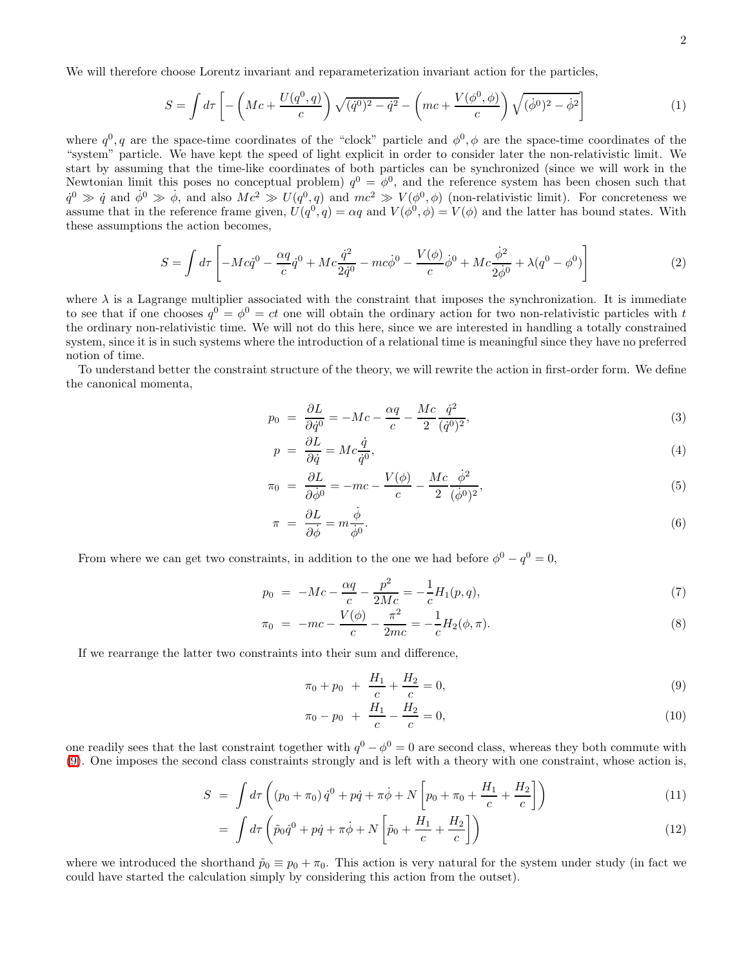We will therefore choose Lorentz invariant and reparameterization invariant action for the particles,

$$
S = \int d\tau \left[ -\left( Mc + \frac{U(q^0, q)}{c} \right) \sqrt{(\dot{q}^0)^2 - \dot{q}^2} - \left( mc + \frac{V(\phi^0, \phi)}{c} \right) \sqrt{(\dot{\phi}^0)^2 - \dot{\phi}^2} \right]
$$
(1)

where  $q^0, q$  are the space-time coordinates of the "clock" particle and  $\phi^0, \phi$  are the space-time coordinates of the "system" particle. We have kept the speed of light explicit in order to consider later the non-relativistic limit. We start by assuming that the time-like coordinates of both particles can be synchronized (since we will work in the Newtonian limit this poses no conceptual problem)  $q^0 = \phi^0$ , and the reference system has been chosen such that  $q^0 \gg \dot{q}$  and  $\dot{\phi}^0 \gg \dot{\phi}$ , and also  $Mc^2 \gg U(q^0, q)$  and  $mc^2 \gg V(\phi^0, \phi)$  (non-relativistic limit). For concreteness we assume that in the reference frame given,  $U(q^0, q) = \alpha q$  and  $V(\phi^0, \phi) = V(\phi)$  and the latter has bound states. With these assumptions the action becomes,

$$
S = \int d\tau \left[ -Mc\dot{q}^0 - \frac{\alpha q}{c}\dot{q}^0 + Mc\frac{\dot{q}^2}{2\dot{q}^0} - mc\dot{\phi}^0 - \frac{V(\phi)}{c}\dot{\phi}^0 + Mc\frac{\dot{\phi}^2}{2\dot{\phi}^0} + \lambda(q^0 - \phi^0) \right]
$$
(2)

where  $\lambda$  is a Lagrange multiplier associated with the constraint that imposes the synchronization. It is immediate to see that if one chooses  $q^0 = \phi^0 = ct$  one will obtain the ordinary action for two non-relativistic particles with t the ordinary non-relativistic time. We will not do this here, since we are interested in handling a totally constrained system, since it is in such systems where the introduction of a relational time is meaningful since they have no preferred notion of time.

To understand better the constraint structure of the theory, we will rewrite the action in first-order form. We define the canonical momenta,

$$
p_0 = \frac{\partial L}{\partial \dot{q}^0} = -Mc - \frac{\alpha q}{c} - \frac{Mc}{2} \frac{\dot{q}^2}{(\dot{q}^0)^2},\tag{3}
$$

$$
p = \frac{\partial L}{\partial \dot{q}} = Mc \frac{\dot{q}}{\dot{q}^0},\tag{4}
$$

$$
\pi_0 = \frac{\partial L}{\partial \dot{\phi}^0} = -mc - \frac{V(\phi)}{c} - \frac{Mc}{2} \frac{\dot{\phi}^2}{(\dot{\phi}^0)^2},\tag{5}
$$

$$
\pi = \frac{\partial L}{\partial \dot{\phi}} = m \frac{\dot{\phi}}{\dot{\phi}^0}.
$$
\n(6)

From where we can get two constraints, in addition to the one we had before  $\phi^0 - q^0 = 0$ ,

$$
p_0 = -Mc - \frac{\alpha q}{c} - \frac{p^2}{2Mc} = -\frac{1}{c}H_1(p, q),\tag{7}
$$

<span id="page-2-0"></span>
$$
\pi_0 = -mc - \frac{V(\phi)}{c} - \frac{\pi^2}{2mc} = -\frac{1}{c}H_2(\phi, \pi).
$$
\n(8)

If we rearrange the latter two constraints into their sum and difference,

$$
\pi_0 + p_0 + \frac{H_1}{c} + \frac{H_2}{c} = 0,\tag{9}
$$

$$
\pi_0 - p_0 + \frac{H_1}{c} - \frac{H_2}{c} = 0,\tag{10}
$$

one readily sees that the last constraint together with  $q^0 - \phi^0 = 0$  are second class, whereas they both commute with [\(9\)](#page-2-0). One imposes the second class constraints strongly and is left with a theory with one constraint, whose action is,

$$
S = \int d\tau \left( (p_0 + \pi_0) \dot{q}^0 + p\dot{q} + \pi \dot{\phi} + N \left[ p_0 + \pi_0 + \frac{H_1}{c} + \frac{H_2}{c} \right] \right) \tag{11}
$$

$$
= \int d\tau \left( \tilde{p}_0 \dot{q}^0 + p\dot{q} + \pi \dot{\phi} + N \left[ \tilde{p}_0 + \frac{H_1}{c} + \frac{H_2}{c} \right] \right) \tag{12}
$$

where we introduced the shorthand  $\tilde{p}_0 \equiv p_0 + \pi_0$ . This action is very natural for the system under study (in fact we could have started the calculation simply by considering this action from the outset).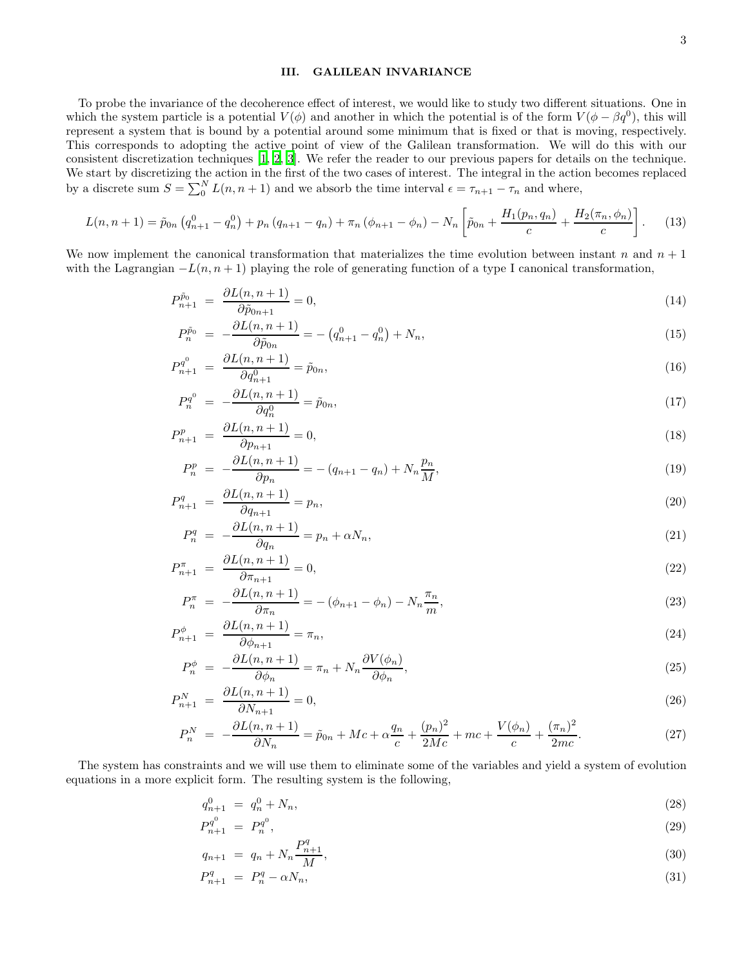### III. GALILEAN INVARIANCE

To probe the invariance of the decoherence effect of interest, we would like to study two different situations. One in which the system particle is a potential  $V(\phi)$  and another in which the potential is of the form  $V(\phi - \beta q^0)$ , this will represent a system that is bound by a potential around some minimum that is fixed or that is moving, respectively. This corresponds to adopting the active point of view of the Galilean transformation. We will do this with our consistent discretization techniques [\[1](#page-10-0), [2,](#page-10-1) [3\]](#page-10-2). We refer the reader to our previous papers for details on the technique. We start by discretizing the action in the first of the two cases of interest. The integral in the action becomes replaced by a discrete sum  $S = \sum_{0}^{N} L(n, n + 1)$  and we absorb the time interval  $\epsilon = \tau_{n+1} - \tau_n$  and where,

$$
L(n, n+1) = \tilde{p}_{0n} \left( q_{n+1}^0 - q_n^0 \right) + p_n \left( q_{n+1} - q_n \right) + \pi_n \left( \phi_{n+1} - \phi_n \right) - N_n \left[ \tilde{p}_{0n} + \frac{H_1(p_n, q_n)}{c} + \frac{H_2(\pi_n, \phi_n)}{c} \right].
$$
 (13)

We now implement the canonical transformation that materializes the time evolution between instant n and  $n + 1$ with the Lagrangian  $-L(n, n+1)$  playing the role of generating function of a type I canonical transformation,

$$
P_{n+1}^{\tilde{p}_0} = \frac{\partial L(n, n+1)}{\partial \tilde{p}_{0n+1}} = 0,\tag{14}
$$

$$
P_n^{\tilde{p}_0} = -\frac{\partial L(n, n+1)}{\partial \tilde{p}_{0n}} = -(q_{n+1}^0 - q_n^0) + N_n,
$$
\n(15)

$$
P_{n+1}^{q^0} = \frac{\partial L(n, n+1)}{\partial q_{n+1}^0} = \tilde{p}_{0n},\tag{16}
$$

$$
P_n^{q^0} = -\frac{\partial L(n, n+1)}{\partial q_n^0} = \tilde{p}_{0n},\tag{17}
$$

$$
P_{n+1}^p = \frac{\partial L(n, n+1)}{\partial p_{n+1}} = 0,\tag{18}
$$

$$
P_n^p = -\frac{\partial L(n, n+1)}{\partial p_n} = -(q_{n+1} - q_n) + N_n \frac{p_n}{M},
$$
\n(19)

$$
P_{n+1}^q = \frac{\partial L(n, n+1)}{\partial q_{n+1}} = p_n,\tag{20}
$$

$$
P_n^q = -\frac{\partial L(n, n+1)}{\partial q_n} = p_n + \alpha N_n,\tag{21}
$$

$$
P_{n+1}^{\pi} = \frac{\partial L(n, n+1)}{\partial \pi_{n+1}} = 0,\tag{22}
$$

$$
P_n^{\pi} = -\frac{\partial L(n, n+1)}{\partial \pi_n} = -(\phi_{n+1} - \phi_n) - N_n \frac{\pi_n}{m},
$$
\n(23)

$$
P_{n+1}^{\phi} = \frac{\partial L(n, n+1)}{\partial \phi_{n+1}} = \pi_n,\tag{24}
$$

$$
P_n^{\phi} = -\frac{\partial L(n, n+1)}{\partial \phi_n} = \pi_n + N_n \frac{\partial V(\phi_n)}{\partial \phi_n},
$$
\n(25)

$$
P_{n+1}^N = \frac{\partial L(n, n+1)}{\partial N_{n+1}} = 0,\tag{26}
$$

$$
P_n^N = -\frac{\partial L(n, n+1)}{\partial N_n} = \tilde{p}_{0n} + Mc + \alpha \frac{q_n}{c} + \frac{(p_n)^2}{2Mc} + mc + \frac{V(\phi_n)}{c} + \frac{(\pi_n)^2}{2mc}.
$$
 (27)

<span id="page-3-0"></span>The system has constraints and we will use them to eliminate some of the variables and yield a system of evolution equations in a more explicit form. The resulting system is the following,

$$
q_{n+1}^0 = q_n^0 + N_n,\tag{28}
$$

$$
P_{n+1}^{q^0} = P_n^{q^0}, \tag{29}
$$

$$
q_{n+1} = q_n + N_n \frac{P_{n+1}^q}{M}, \tag{30}
$$

$$
P_{n+1}^q = P_n^q - \alpha N_n,\tag{31}
$$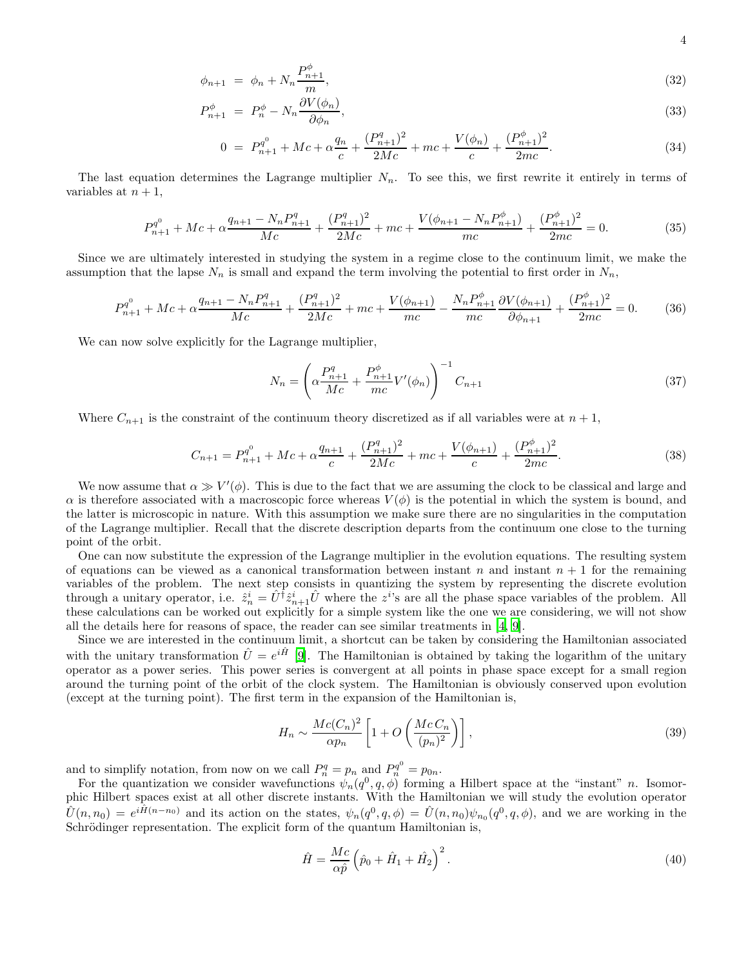$$
\phi_{n+1} = \phi_n + N_n \frac{P_{n+1}^{\phi}}{m},\tag{32}
$$

$$
P_{n+1}^{\phi} = P_n^{\phi} - N_n \frac{\partial V(\phi_n)}{\partial \phi_n},\tag{33}
$$

$$
0 = P_{n+1}^{q^0} + Mc + \alpha \frac{q_n}{c} + \frac{(P_{n+1}^q)^2}{2Mc} + mc + \frac{V(\phi_n)}{c} + \frac{(P_{n+1}^{\phi})^2}{2mc}.
$$
 (34)

The last equation determines the Lagrange multiplier  $N_n$ . To see this, we first rewrite it entirely in terms of variables at  $n + 1$ ,

$$
P_{n+1}^{q^0} + Mc + \alpha \frac{q_{n+1} - N_n P_{n+1}^q}{Mc} + \frac{(P_{n+1}^q)^2}{2Mc} + mc + \frac{V(\phi_{n+1} - N_n P_{n+1}^\phi)}{mc} + \frac{(P_{n+1}^\phi)^2}{2mc} = 0.
$$
 (35)

Since we are ultimately interested in studying the system in a regime close to the continuum limit, we make the assumption that the lapse  $N_n$  is small and expand the term involving the potential to first order in  $N_n$ ,

$$
P_{n+1}^{q^0} + Mc + \alpha \frac{q_{n+1} - N_n P_{n+1}^q}{Mc} + \frac{(P_{n+1}^q)^2}{2Mc} + mc + \frac{V(\phi_{n+1})}{mc} - \frac{N_n P_{n+1}^\phi}{mc} \frac{\partial V(\phi_{n+1})}{\partial \phi_{n+1}} + \frac{(P_{n+1}^\phi)^2}{2mc} = 0.
$$
 (36)

We can now solve explicitly for the Lagrange multiplier,

$$
N_n = \left(\alpha \frac{P_{n+1}^q}{Mc} + \frac{P_{n+1}^\phi}{mc} V'(\phi_n)\right)^{-1} C_{n+1}
$$
\n(37)

Where  $C_{n+1}$  is the constraint of the continuum theory discretized as if all variables were at  $n + 1$ ,

$$
C_{n+1} = P_{n+1}^{q^0} + Mc + \alpha \frac{q_{n+1}}{c} + \frac{(P_{n+1}^q)^2}{2Mc} + mc + \frac{V(\phi_{n+1})}{c} + \frac{(P_{n+1}^{\phi})^2}{2mc}.
$$
 (38)

We now assume that  $\alpha \gg V'(\phi)$ . This is due to the fact that we are assuming the clock to be classical and large and  $\alpha$  is therefore associated with a macroscopic force whereas  $V(\phi)$  is the potential in which the system is bound, and the latter is microscopic in nature. With this assumption we make sure there are no singularities in the computation of the Lagrange multiplier. Recall that the discrete description departs from the continuum one close to the turning point of the orbit.

One can now substitute the expression of the Lagrange multiplier in the evolution equations. The resulting system of equations can be viewed as a canonical transformation between instant n and instant  $n + 1$  for the remaining variables of the problem. The next step consists in quantizing the system by representing the discrete evolution through a unitary operator, i.e.  $\hat{z}_n^i = \hat{U}^{\dagger} \hat{z}_{n+1}^i \hat{U}$  where the  $z^i$ 's are all the phase space variables of the problem. All these calculations can be worked out explicitly for a simple system like the one we are considering, we will not show all the details here for reasons of space, the reader can see similar treatments in [\[4,](#page-10-3) [9\]](#page-10-8).

Since we are interested in the continuum limit, a shortcut can be taken by considering the Hamiltonian associated with the unitary transformation  $\hat{U} = e^{i\hat{H}}$  [\[9\]](#page-10-8). The Hamiltonian is obtained by taking the logarithm of the unitary operator as a power series. This power series is convergent at all points in phase space except for a small region around the turning point of the orbit of the clock system. The Hamiltonian is obviously conserved upon evolution (except at the turning point). The first term in the expansion of the Hamiltonian is,

$$
H_n \sim \frac{Mc(C_n)^2}{\alpha p_n} \left[ 1 + O\left(\frac{Mc C_n}{(p_n)^2}\right) \right],\tag{39}
$$

and to simplify notation, from now on we call  $P_n^q = p_n$  and  $P_n^{q^0} = p_{0n}$ .

For the quantization we consider wavefunctions  $\psi_n(q^0, q, \phi)$  forming a Hilbert space at the "instant" n. Isomorphic Hilbert spaces exist at all other discrete instants. With the Hamiltonian we will study the evolution operator  $\hat{U}(n,n_0) = e^{i\hat{H}(n-n_0)}$  and its action on the states,  $\psi_n(q^0, q, \phi) = \hat{U}(n,n_0)\psi_{n_0}(q^0, q, \phi)$ , and we are working in the Schrödinger representation. The explicit form of the quantum Hamiltonian is,

$$
\hat{H} = \frac{Mc}{\alpha \hat{p}} \left( \hat{p}_0 + \hat{H}_1 + \hat{H}_2 \right)^2.
$$
\n(40)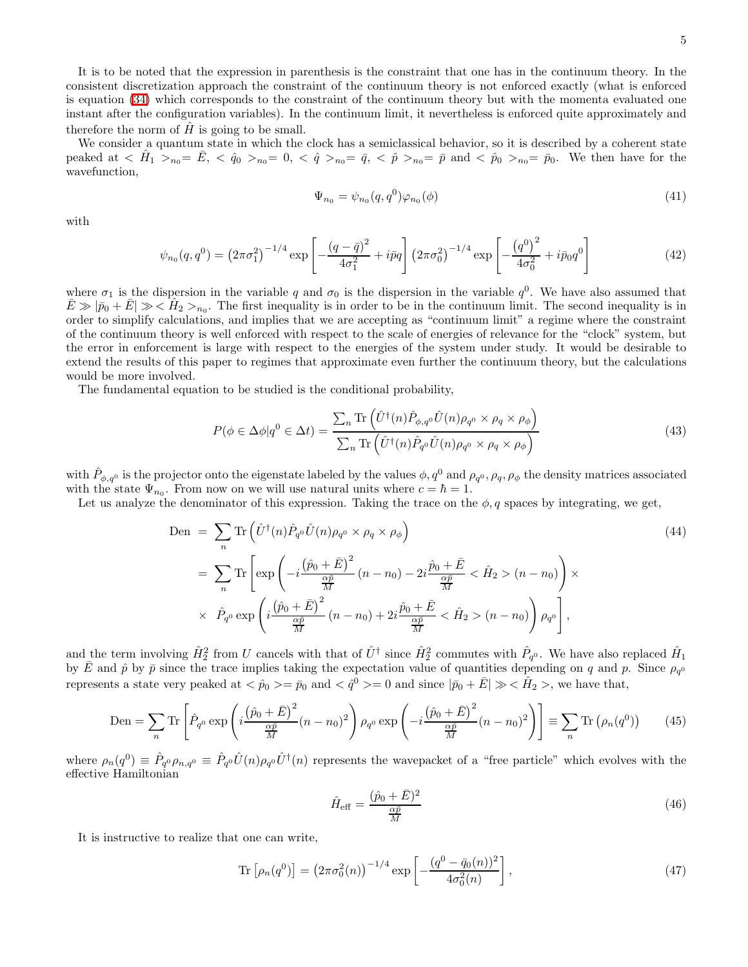5

It is to be noted that the expression in parenthesis is the constraint that one has in the continuum theory. In the consistent discretization approach the constraint of the continuum theory is not enforced exactly (what is enforced is equation [\(34\)](#page-3-0) which corresponds to the constraint of the continuum theory but with the momenta evaluated one instant after the configuration variables). In the continuum limit, it nevertheless is enforced quite approximately and therefore the norm of  $\hat{H}$  is going to be small.

We consider a quantum state in which the clock has a semiclassical behavior, so it is described by a coherent state peaked at  $\langle \hat{H}_1 \rangle_{n_0} = \bar{E}, \langle \hat{q}_0 \rangle_{n_0} = 0, \langle \hat{q} \rangle_{n_0} = \bar{q}, \langle \hat{p} \rangle_{n_0} = \bar{p}$  and  $\langle \hat{p}_0 \rangle_{n_0} = \bar{p}_0$ . We then have for the wavefunction,

$$
\Psi_{n_0} = \psi_{n_0}(q, q^0)\varphi_{n_0}(\phi) \tag{41}
$$

with

$$
\psi_{n_0}(q, q^0) = \left(2\pi\sigma_1^2\right)^{-1/4} \exp\left[-\frac{(q-\bar{q})^2}{4\sigma_1^2} + i\bar{p}q\right] \left(2\pi\sigma_0^2\right)^{-1/4} \exp\left[-\frac{\left(q^0\right)^2}{4\sigma_0^2} + i\bar{p}_0q^0\right]
$$
\n(42)

where  $\sigma_1$  is the dispersion in the variable q and  $\sigma_0$  is the dispersion in the variable  $q^0$ . We have also assumed that  $\bar{E}\gg|\bar{p}_0+\bar{E}|\gg\langle\hat{H}_2\rangle_{n_0}$ . The first inequality is in order to be in the continuum limit. The second inequality is in order to simplify calculations, and implies that we are accepting as "continuum limit" a regime where the constraint of the continuum theory is well enforced with respect to the scale of energies of relevance for the "clock" system, but the error in enforcement is large with respect to the energies of the system under study. It would be desirable to extend the results of this paper to regimes that approximate even further the continuum theory, but the calculations would be more involved.

The fundamental equation to be studied is the conditional probability,

$$
P(\phi \in \Delta \phi | q^0 \in \Delta t) = \frac{\sum_n \text{Tr} \left( \hat{U}^\dagger(n) \hat{P}_{\phi,q^0} \hat{U}(n) \rho_{q^0} \times \rho_q \times \rho_\phi \right)}{\sum_n \text{Tr} \left( \hat{U}^\dagger(n) \hat{P}_{q^0} \hat{U}(n) \rho_{q^0} \times \rho_q \times \rho_\phi \right)}
$$
(43)

with  $\hat{P}_{\phi,q^0}$  is the projector onto the eigenstate labeled by the values  $\phi, q^0$  and  $\rho_{q^0}, \rho_q, \rho_\phi$  the density matrices associated with the state  $\Psi_{n_0}$ . From now on we will use natural units where  $c = \hbar = 1$ .

Let us analyze the denominator of this expression. Taking the trace on the  $\phi$ , q spaces by integrating, we get,

$$
\begin{split} \text{Den} \; &= \; \sum_{n} \text{Tr} \left( \hat{U}^{\dagger}(n) \hat{P}_{q^{0}} \hat{U}(n) \rho_{q^{0}} \times \rho_{q} \times \rho_{\phi} \right) \\ &= \; \sum_{n} \text{Tr} \left[ \exp \left( -i \frac{\left( \hat{p}_{0} + \bar{E} \right)^{2}}{\frac{\alpha \bar{p}}{M}} (n - n_{0}) - 2i \frac{\hat{p}_{0} + \bar{E}}{\frac{\alpha \bar{p}}{M}} \times \hat{H}_{2} > (n - n_{0}) \right) \times \right. \\ &\times \; \hat{P}_{q^{0}} \exp \left( i \frac{\left( \hat{p}_{0} + \bar{E} \right)^{2}}{\frac{\alpha \bar{p}}{M}} (n - n_{0}) + 2i \frac{\hat{p}_{0} + \bar{E}}{\frac{\alpha \bar{p}}{M}} \times \hat{H}_{2} > (n - n_{0}) \right) \rho_{q^{0}} \right], \end{split} \end{split} \label{eq:14}
$$

and the term involving  $\hat{H}_2^2$  from U cancels with that of  $\hat{U}^{\dagger}$  since  $\hat{H}_2^2$  commutes with  $\hat{P}_{q^0}$ . We have also replaced  $\hat{H}_1$ <br>by  $\overline{E}$  and  $\hat{p}$  by  $\overline{p}$  since the trace implies taking the represents a state very peaked at  $\langle \hat{p}_0 \rangle = \bar{p}_0$  and  $\langle \hat{q}^0 \rangle = 0$  and since  $|\bar{p}_0 + \bar{E}| \gg \langle \hat{H}_2 \rangle$ , we have that,

$$
\text{Den} = \sum_{n} \text{Tr} \left[ \hat{P}_{q^0} \exp \left( i \frac{\left( \hat{p}_0 + \bar{E} \right)^2}{\frac{\alpha \bar{p}}{M}} (n - n_0)^2 \right) \rho_{q^0} \exp \left( -i \frac{\left( \hat{p}_0 + \bar{E} \right)^2}{\frac{\alpha \bar{p}}{M}} (n - n_0)^2 \right) \right] \equiv \sum_{n} \text{Tr} \left( \rho_n(q^0) \right) \tag{45}
$$

<span id="page-5-0"></span>where  $\rho_n(q^0) \equiv \hat{P}_{q^0} \rho_{n,q^0} \equiv \hat{P}_{q^0} \hat{U}(n) \rho_{q^0} \hat{U}^{\dagger}(n)$  represents the wavepacket of a "free particle" which evolves with the effective Hamiltonian

$$
\hat{H}_{\text{eff}} = \frac{(\hat{p}_0 + \bar{E})^2}{\frac{\alpha \bar{p}}{M}}\tag{46}
$$

It is instructive to realize that one can write,

$$
\text{Tr}\left[\rho_n(q^0)\right] = \left(2\pi\sigma_0^2(n)\right)^{-1/4} \exp\left[-\frac{(q^0 - \bar{q}_0(n))^2}{4\sigma_0^2(n)}\right],\tag{47}
$$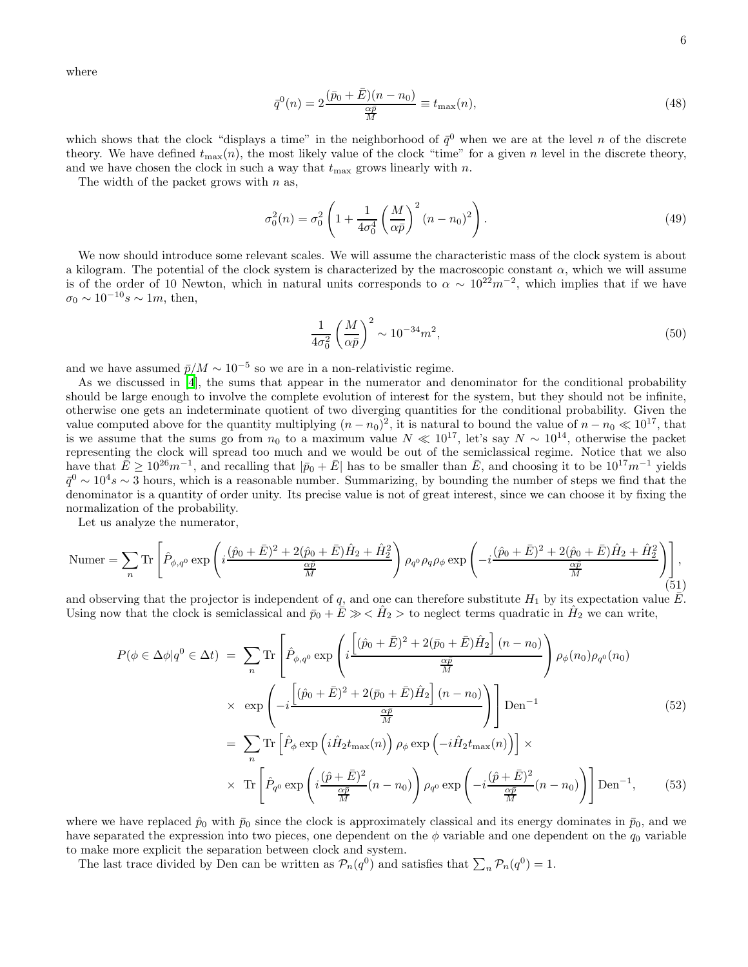where

<span id="page-6-0"></span>
$$
\bar{q}^{0}(n) = 2 \frac{(\bar{p}_{0} + \bar{E})(n - n_{0})}{\frac{\alpha \bar{p}}{M}} \equiv t_{\max}(n),
$$
\n(48)

which shows that the clock "displays a time" in the neighborhood of  $\bar{q}^0$  when we are at the level n of the discrete theory. We have defined  $t_{\text{max}}(n)$ , the most likely value of the clock "time" for a given n level in the discrete theory, and we have chosen the clock in such a way that  $t_{\text{max}}$  grows linearly with n.

The width of the packet grows with  $n$  as,

<span id="page-6-1"></span>
$$
\sigma_0^2(n) = \sigma_0^2 \left( 1 + \frac{1}{4\sigma_0^4} \left( \frac{M}{\alpha \bar{p}} \right)^2 (n - n_0)^2 \right). \tag{49}
$$

We now should introduce some relevant scales. We will assume the characteristic mass of the clock system is about a kilogram. The potential of the clock system is characterized by the macroscopic constant  $\alpha$ , which we will assume is of the order of 10 Newton, which in natural units corresponds to  $\alpha \sim 10^{22} m^{-2}$ , which implies that if we have  $\sigma_0 \sim 10^{-10} s \sim 1m$ , then,

$$
\frac{1}{4\sigma_0^2} \left(\frac{M}{\alpha \bar{p}}\right)^2 \sim 10^{-34} m^2,\tag{50}
$$

and we have assumed  $\bar{p}/M \sim 10^{-5}$  so we are in a non-relativistic regime.

As we discussed in [\[4](#page-10-3)], the sums that appear in the numerator and denominator for the conditional probability should be large enough to involve the complete evolution of interest for the system, but they should not be infinite, otherwise one gets an indeterminate quotient of two diverging quantities for the conditional probability. Given the value computed above for the quantity multiplying  $(n - n_0)^2$ , it is natural to bound the value of  $n - n_0 \ll 10^{17}$ , that is we assume that the sums go from  $n_0$  to a maximum value  $N \ll 10^{17}$ , let's say  $N \sim 10^{14}$ , otherwise the packet representing the clock will spread too much and we would be out of the semiclassical regime. Notice that we also have that  $\bar{E} \ge 10^{26} m^{-1}$ , and recalling that  $|\bar{p}_0 + \bar{E}|$  has to be smaller than  $\bar{E}$ , and choosing it to be  $10^{17} m^{-1}$  yields  $\bar{q}^0 \sim 10^4$ s ~ 3 hours, which is a reasonable number. Summarizing, by bounding the number of steps we find that the denominator is a quantity of order unity. Its precise value is not of great interest, since we can choose it by fixing the normalization of the probability.

Let us analyze the numerator,

<span id="page-6-2"></span>
$$
\text{Numer} = \sum_{n} \text{Tr} \left[ \hat{P}_{\phi,q^0} \exp \left( i \frac{(\hat{p}_0 + \bar{E})^2 + 2(\hat{p}_0 + \bar{E})\hat{H}_2 + \hat{H}_2^2}{\frac{\alpha \bar{p}}{M}} \right) \rho_{q^0} \rho_q \rho_\phi \exp \left( -i \frac{(\hat{p}_0 + \bar{E})^2 + 2(\hat{p}_0 + \bar{E})\hat{H}_2 + \hat{H}_2^2}{\frac{\alpha \bar{p}}{M}} \right) \right], \tag{51}
$$

and observing that the projector is independent of q, and one can therefore substitute  $H_1$  by its expectation value  $\bar{E}$ . Using now that the clock is semiclassical and  $\bar{p}_0 + \bar{E} \gg \langle \hat{H}_2 \rangle$  to neglect terms quadratic in  $\hat{H}_2$  we can write,

$$
P(\phi \in \Delta \phi | q^0 \in \Delta t) = \sum_{n} \text{Tr} \left[ \hat{P}_{\phi,q^0} \exp \left( i \frac{\left[ (\hat{p}_0 + \bar{E})^2 + 2(\bar{p}_0 + \bar{E}) \hat{H}_2 \right] (n - n_0)}{\frac{\alpha \bar{p}}{M}} \right) \rho_{\phi}(n_0) \rho_{q^0}(n_0)
$$
  
 
$$
\times \exp \left( -i \frac{\left[ (\hat{p}_0 + \bar{E})^2 + 2(\bar{p}_0 + \bar{E}) \hat{H}_2 \right] (n - n_0)}{\frac{\alpha \bar{p}}{M}} \right) \right] \text{Den}^{-1}
$$
(52)  
\n
$$
= \sum_{n} \text{Tr} \left[ \hat{P}_{\phi} \exp \left( i \hat{H}_2 t_{\text{max}}(n) \right) \rho_{\phi} \exp \left( -i \hat{H}_2 t_{\text{max}}(n) \right) \right] \times
$$
  
\n
$$
\times \text{Tr} \left[ \hat{P}_{q^0} \exp \left( i \frac{(\hat{p} + \bar{E})^2}{\frac{\alpha \bar{p}}{M}} (n - n_0) \right) \rho_{q^0} \exp \left( -i \frac{(\hat{p} + \bar{E})^2}{\frac{\alpha \bar{p}}{M}} (n - n_0) \right) \right] \text{Den}^{-1}, \qquad (53)
$$

where we have replaced  $\hat{p}_0$  with  $\bar{p}_0$  since the clock is approximately classical and its energy dominates in  $\bar{p}_0$ , and we have separated the expression into two pieces, one dependent on the  $\phi$  variable and one dependent on the  $q_0$  variable to make more explicit the separation between clock and system.

The last trace divided by Den can be written as  $\mathcal{P}_n(q^0)$  and satisfies that  $\sum_n \mathcal{P}_n(q^0) = 1$ .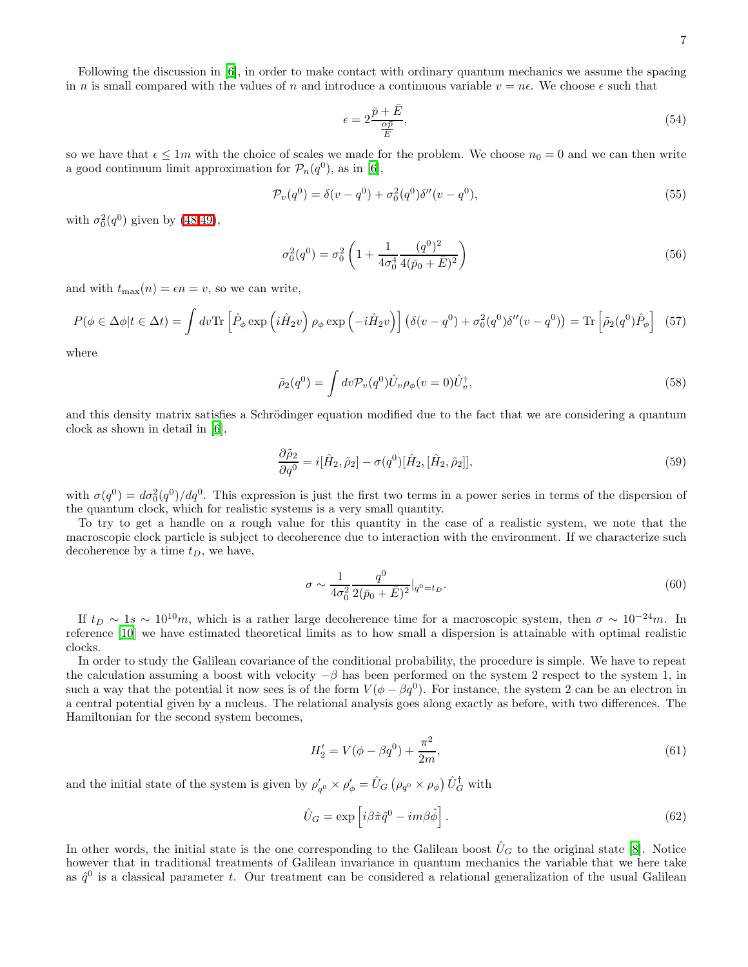Following the discussion in [\[6\]](#page-10-5), in order to make contact with ordinary quantum mechanics we assume the spacing in n is small compared with the values of n and introduce a continuous variable  $v = n\epsilon$ . We choose  $\epsilon$  such that

$$
\epsilon = 2 \frac{\bar{p} + \bar{E}}{\frac{\alpha \bar{p}}{E}},\tag{54}
$$

so we have that  $\epsilon \leq 1m$  with the choice of scales we made for the problem. We choose  $n_0 = 0$  and we can then write a good continuum limit approximation for  $\mathcal{P}_n(q^0)$ , as in [\[6\]](#page-10-5),

$$
\mathcal{P}_v(q^0) = \delta(v - q^0) + \sigma_0^2(q^0)\delta''(v - q^0),\tag{55}
$$

with  $\sigma_0^2(q^0)$  given by [\(48](#page-6-0)[,49\)](#page-6-1),

$$
\sigma_0^2(q^0) = \sigma_0^2 \left( 1 + \frac{1}{4\sigma_0^4} \frac{(q^0)^2}{4(\bar{p}_0 + \bar{E})^2} \right) \tag{56}
$$

and with  $t_{\text{max}}(n) = \epsilon n = v$ , so we can write,

$$
P(\phi \in \Delta \phi | t \in \Delta t) = \int dv \text{Tr} \left[ \hat{P}_{\phi} \exp \left( i \hat{H}_2 v \right) \rho_{\phi} \exp \left( -i \hat{H}_2 v \right) \right] \left( \delta (v - q^0) + \sigma_0^2 (q^0) \delta'' (v - q^0) \right) = \text{Tr} \left[ \tilde{\rho}_2 (q^0) \hat{P}_{\phi} \right] \tag{57}
$$

where

$$
\tilde{\rho}_2(q^0) = \int dv \mathcal{P}_v(q^0) \hat{U}_v \rho_\phi(v=0) \hat{U}_v^\dagger,\tag{58}
$$

and this density matrix satisfies a Schrödinger equation modified due to the fact that we are considering a quantum clock as shown in detail in [\[6](#page-10-5)],

$$
\frac{\partial \tilde{\rho}_2}{\partial q^0} = i[\hat{H}_2, \tilde{\rho}_2] - \sigma(q^0)[\hat{H}_2, [\hat{H}_2, \tilde{\rho}_2]], \qquad (59)
$$

with  $\sigma(q^0) = d\sigma_0^2(q^0)/dq^0$ . This expression is just the first two terms in a power series in terms of the dispersion of the quantum clock, which for realistic systems is a very small quantity.

To try to get a handle on a rough value for this quantity in the case of a realistic system, we note that the macroscopic clock particle is subject to decoherence due to interaction with the environment. If we characterize such decoherence by a time  $t_D$ , we have,

$$
\sigma \sim \frac{1}{4\sigma_0^2} \frac{q^0}{2(\bar{p}_0 + \bar{E})^2} \Big|_{q^0 = t_D}.
$$
\n(60)

If  $t_D \sim 1s \sim 10^{10}m$ , which is a rather large decoherence time for a macroscopic system, then  $\sigma \sim 10^{-24}m$ . In reference [\[10](#page-10-9)] we have estimated theoretical limits as to how small a dispersion is attainable with optimal realistic clocks.

In order to study the Galilean covariance of the conditional probability, the procedure is simple. We have to repeat the calculation assuming a boost with velocity  $-\beta$  has been performed on the system 2 respect to the system 1, in such a way that the potential it now sees is of the form  $V(\phi - \beta q^0)$ . For instance, the system 2 can be an electron in a central potential given by a nucleus. The relational analysis goes along exactly as before, with two differences. The Hamiltonian for the second system becomes,

$$
H_2' = V(\phi - \beta q^0) + \frac{\pi^2}{2m},\tag{61}
$$

and the initial state of the system is given by  $\rho'_{q^0} \times \rho'_{\phi} = \hat{U}_G \left( \rho_{q^0} \times \rho_{\phi} \right) \hat{U}_G^{\dagger}$  with

$$
\hat{U}_G = \exp\left[i\beta\hat{\pi}\hat{q}^0 - im\beta\hat{\phi}\right].\tag{62}
$$

In other words, the initial state is the one corresponding to the Galilean boost  $\hat{U}_G$  to the original state [\[8\]](#page-10-7). Notice however that in traditional treatments of Galilean invariance in quantum mechanics the variable that we here take as  $\hat{q}^0$  is a classical parameter t. Our treatment can be considered a relational generalization of the usual Galilean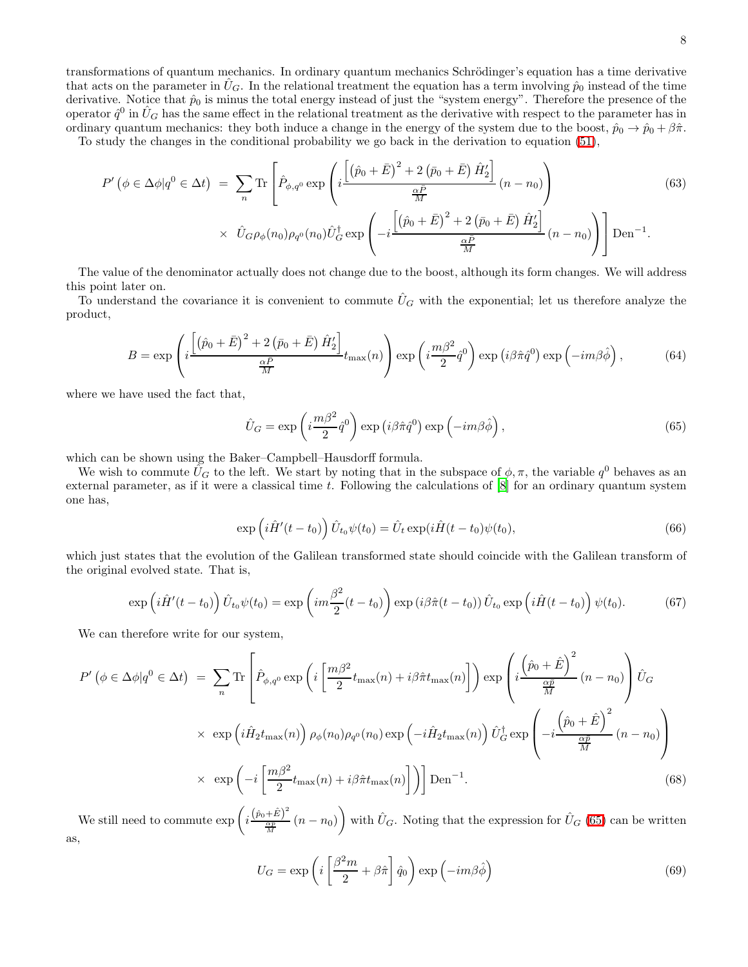To study the changes in the conditional probability we go back in the derivation to equation [\(51\)](#page-6-2),

$$
P' \left( \phi \in \Delta \phi | q^0 \in \Delta t \right) = \sum_{n} \text{Tr} \left[ \hat{P}_{\phi, q^0} \exp \left( i \frac{\left[ \left( \hat{p}_0 + \bar{E} \right)^2 + 2 \left( \bar{p}_0 + \bar{E} \right) \hat{H}_2' \right]}{\frac{\alpha \bar{P}}{M}} (n - n_0) \right) \times \hat{U}_G \rho_{\phi}(n_0) \rho_{q^0}(n_0) \hat{U}_G^{\dagger} \exp \left( -i \frac{\left[ \left( \hat{p}_0 + \bar{E} \right)^2 + 2 \left( \bar{p}_0 + \bar{E} \right) \hat{H}_2' \right]}{\frac{\alpha \bar{P}}{M}} (n - n_0) \right) \right] \text{Den}^{-1}.
$$
\n
$$
(63)
$$

The value of the denominator actually does not change due to the boost, although its form changes. We will address this point later on.

To understand the covariance it is convenient to commute  $\hat{U}_G$  with the exponential; let us therefore analyze the product,

<span id="page-8-0"></span>
$$
B = \exp\left(i\frac{\left[\left(\hat{p}_0 + \bar{E}\right)^2 + 2\left(\bar{p}_0 + \bar{E}\right)\hat{H}_2'\right]}{\frac{\alpha \bar{P}}{M}}t_{\max}(n)\right) \exp\left(i\frac{m\beta^2}{2}\hat{q}^0\right) \exp\left(i\beta\hat{\pi}\hat{q}^0\right) \exp\left(-im\beta\hat{\phi}\right),\tag{64}
$$

where we have used the fact that,

$$
\hat{U}_G = \exp\left(i\frac{m\beta^2}{2}\hat{q}^0\right)\exp\left(i\beta\hat{\pi}\hat{q}^0\right)\exp\left(-im\beta\hat{\phi}\right),\tag{65}
$$

which can be shown using the Baker–Campbell–Hausdorff formula.

We wish to commute  $\tilde{U}_G$  to the left. We start by noting that in the subspace of  $\phi, \pi$ , the variable  $q^0$  behaves as an external parameter, as if it were a classical time t. Following the calculations of [\[8](#page-10-7)] for an ordinary quantum system one has,

$$
\exp\left(i\hat{H}'(t-t_0)\right)\hat{U}_{t_0}\psi(t_0)=\hat{U}_t\exp(i\hat{H}(t-t_0)\psi(t_0),\tag{66}
$$

which just states that the evolution of the Galilean transformed state should coincide with the Galilean transform of the original evolved state. That is,

$$
\exp\left(i\hat{H}'(t-t_0)\right)\hat{U}_{t_0}\psi(t_0)=\exp\left(im\frac{\beta^2}{2}(t-t_0)\right)\exp\left(i\beta\hat{\pi}(t-t_0)\right)\hat{U}_{t_0}\exp\left(i\hat{H}(t-t_0)\right)\psi(t_0).
$$
(67)

We can therefore write for our system,

<span id="page-8-1"></span>
$$
P'(\phi \in \Delta \phi | q^0 \in \Delta t) = \sum_{n} \text{Tr} \left[ \hat{P}_{\phi, q^0} \exp \left( i \left( \frac{m \beta^2}{2} t_{\text{max}}(n) + i \beta \hat{\pi} t_{\text{max}}(n) \right) \right) \exp \left( i \frac{\left( \hat{p}_0 + \hat{E} \right)^2}{\frac{\alpha \bar{p}}{M}} (n - n_0) \right) \hat{U}_G \right]
$$
  
 
$$
\times \exp \left( i \hat{H}_2 t_{\text{max}}(n) \right) \rho_{\phi}(n_0) \rho_{q^0}(n_0) \exp \left( -i \hat{H}_2 t_{\text{max}}(n) \right) \hat{U}_G^{\dagger} \exp \left( -i \frac{\left( \hat{p}_0 + \hat{E} \right)^2}{\frac{\alpha \bar{p}}{M}} (n - n_0) \right)
$$
  
 
$$
\times \exp \left( -i \left[ \frac{m \beta^2}{2} t_{\text{max}}(n) + i \beta \hat{\pi} t_{\text{max}}(n) \right] \right) \right] \text{Den}^{-1}.
$$
 (68)

We still need to commute  $\exp\left(i\frac{(\hat{p}_0+\hat{E})^2}{\alpha\bar{p}}\right)$  $\frac{(\pm \hat{E})^2}{\frac{\alpha \bar{p}}{M}}(n-n_0)$  with  $\hat{U}_G$ . Noting that the expression for  $\hat{U}_G$  [\(65\)](#page-8-0) can be written as,

$$
U_G = \exp\left(i\left[\frac{\beta^2 m}{2} + \beta \hat{\pi}\right]\hat{q}_0\right) \exp\left(-im\beta\hat{\phi}\right)
$$
\n(69)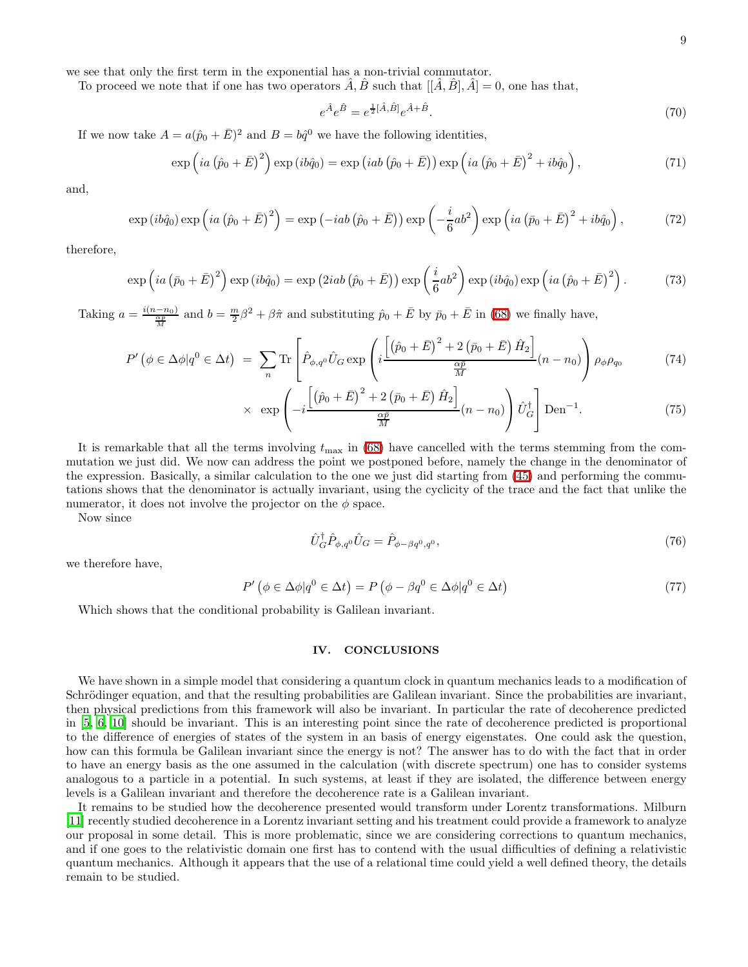we see that only the first term in the exponential has a non-trivial commutator.

To proceed we note that if one has two operators  $\hat{A}, \hat{B}$  such that  $[[\hat{A}, \hat{B}], \hat{A}] = 0$ , one has that,

$$
e^{\hat{A}}e^{\hat{B}} = e^{\frac{1}{2}[\hat{A},\hat{B}]}e^{\hat{A}+\hat{B}}.
$$
\n(70)

If we now take  $A = a(\hat{p}_0 + \bar{E})^2$  and  $B = b\hat{q}^0$  we have the following identities,

$$
\exp\left(ia\left(\hat{p}_0+\bar{E}\right)^2\right)\exp\left(ib\hat{q}_0\right)=\exp\left(iab\left(\hat{p}_0+\bar{E}\right)\right)\exp\left(ia\left(\hat{p}_0+\bar{E}\right)^2+i b\hat{q}_0\right),\tag{71}
$$

and,

$$
\exp\left(i b \hat{q}_0\right) \exp\left(ia\left(\hat{p}_0 + \bar{E}\right)^2\right) = \exp\left(-iab\left(\hat{p}_0 + \bar{E}\right)\right) \exp\left(-\frac{i}{6}ab^2\right) \exp\left(ia\left(\bar{p}_0 + \bar{E}\right)^2 + ib\hat{q}_0\right),\tag{72}
$$

therefore,

$$
\exp\left(ia\left(\bar{p}_0+\bar{E}\right)^2\right)\exp\left(ib\hat{q}_0\right)=\exp\left(2iab\left(\hat{p}_0+\bar{E}\right)\right)\exp\left(\frac{i}{6}ab^2\right)\exp\left(ib\hat{q}_0\right)\exp\left(ia\left(\hat{p}_0+\bar{E}\right)^2\right).
$$
 (73)

Taking  $a = \frac{i(n-n_0)}{\frac{\alpha p}{M}}$  and  $b = \frac{m}{2}\beta^2 + \beta \hat{\pi}$  and substituting  $\hat{p}_0 + \bar{E}$  by  $\bar{p}_0 + \bar{E}$  in [\(68\)](#page-8-1) we finally have,

$$
P' \left( \phi \in \Delta \phi | q^0 \in \Delta t \right) \ = \ \sum_n \text{Tr} \left[ \hat{P}_{\phi,q^0} \hat{U}_G \exp \left( i \frac{\left[ \left( \hat{p}_0 + \bar{E} \right)^2 + 2 \left( \bar{p}_0 + \bar{E} \right) \hat{H}_2 \right]}{\frac{\alpha \bar{p}}{M}} (n - n_0) \right) \rho_\phi \rho_{q_0} \tag{74}
$$

$$
\times \exp\left(-i\frac{\left[\left(\hat{p}_0+\bar{E}\right)^2+2\left(\bar{p}_0+\bar{E}\right)\hat{H}_2\right]}{\frac{\alpha\bar{p}}{M}}(n-n_0)\right)\hat{U}_G^{\dagger}\right]\text{Den}^{-1}.
$$
\n(75)

It is remarkable that all the terms involving  $t_{\text{max}}$  in [\(68\)](#page-8-1) have cancelled with the terms stemming from the commutation we just did. We now can address the point we postponed before, namely the change in the denominator of the expression. Basically, a similar calculation to the one we just did starting from [\(45\)](#page-5-0) and performing the commutations shows that the denominator is actually invariant, using the cyclicity of the trace and the fact that unlike the numerator, it does not involve the projector on the  $\phi$  space.

Now since

$$
\hat{U}_{G}^{\dagger} \hat{P}_{\phi,q^0} \hat{U}_{G} = \hat{P}_{\phi-\beta q^0,q^0},\tag{76}
$$

we therefore have,

$$
P' \left( \phi \in \Delta \phi | q^0 \in \Delta t \right) = P \left( \phi - \beta q^0 \in \Delta \phi | q^0 \in \Delta t \right) \tag{77}
$$

Which shows that the conditional probability is Galilean invariant.

### IV. CONCLUSIONS

We have shown in a simple model that considering a quantum clock in quantum mechanics leads to a modification of Schrödinger equation, and that the resulting probabilities are Galilean invariant. Since the probabilities are invariant, then physical predictions from this framework will also be invariant. In particular the rate of decoherence predicted in [\[5,](#page-10-4) [6](#page-10-5), [10\]](#page-10-9) should be invariant. This is an interesting point since the rate of decoherence predicted is proportional to the difference of energies of states of the system in an basis of energy eigenstates. One could ask the question, how can this formula be Galilean invariant since the energy is not? The answer has to do with the fact that in order to have an energy basis as the one assumed in the calculation (with discrete spectrum) one has to consider systems analogous to a particle in a potential. In such systems, at least if they are isolated, the difference between energy levels is a Galilean invariant and therefore the decoherence rate is a Galilean invariant.

It remains to be studied how the decoherence presented would transform under Lorentz transformations. Milburn [\[11\]](#page-10-10) recently studied decoherence in a Lorentz invariant setting and his treatment could provide a framework to analyze our proposal in some detail. This is more problematic, since we are considering corrections to quantum mechanics, and if one goes to the relativistic domain one first has to contend with the usual difficulties of defining a relativistic quantum mechanics. Although it appears that the use of a relational time could yield a well defined theory, the details remain to be studied.